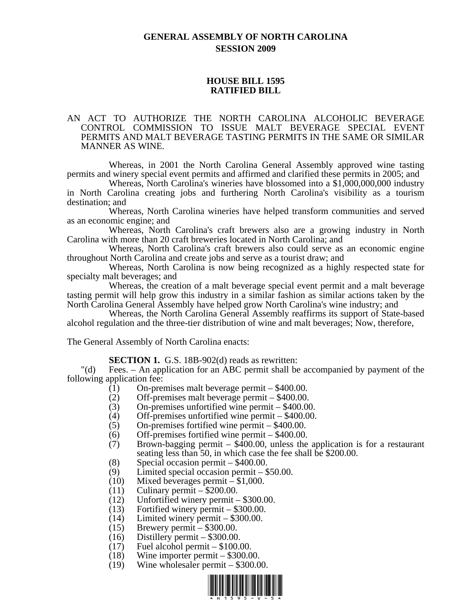# **GENERAL ASSEMBLY OF NORTH CAROLINA SESSION 2009**

### **HOUSE BILL 1595 RATIFIED BILL**

#### AN ACT TO AUTHORIZE THE NORTH CAROLINA ALCOHOLIC BEVERAGE CONTROL COMMISSION TO ISSUE MALT BEVERAGE SPECIAL EVENT PERMITS AND MALT BEVERAGE TASTING PERMITS IN THE SAME OR SIMILAR MANNER AS WINE.

Whereas, in 2001 the North Carolina General Assembly approved wine tasting permits and winery special event permits and affirmed and clarified these permits in 2005; and

Whereas, North Carolina's wineries have blossomed into a \$1,000,000,000 industry in North Carolina creating jobs and furthering North Carolina's visibility as a tourism destination; and

Whereas, North Carolina wineries have helped transform communities and served as an economic engine; and

Whereas, North Carolina's craft brewers also are a growing industry in North Carolina with more than 20 craft breweries located in North Carolina; and

Whereas, North Carolina's craft brewers also could serve as an economic engine throughout North Carolina and create jobs and serve as a tourist draw; and

Whereas, North Carolina is now being recognized as a highly respected state for specialty malt beverages; and

Whereas, the creation of a malt beverage special event permit and a malt beverage tasting permit will help grow this industry in a similar fashion as similar actions taken by the North Carolina General Assembly have helped grow North Carolina's wine industry; and

Whereas, the North Carolina General Assembly reaffirms its support of State-based alcohol regulation and the three-tier distribution of wine and malt beverages; Now, therefore,

The General Assembly of North Carolina enacts:

**SECTION 1.** G.S. 18B-902(d) reads as rewritten:

"(d) Fees. – An application for an ABC permit shall be accompanied by payment of the following application fee:

- (1) On-premises malt beverage permit \$400.00.
- (2) Off-premises malt beverage permit \$400.00.
- (3) On-premises unfortified wine permit \$400.00.
- (4) Off-premises unfortified wine permit \$400.00.
- (5) On-premises fortified wine permit \$400.00.
- (6) Off-premises fortified wine permit \$400.00.
- (7) Brown-bagging permit \$400.00, unless the application is for a restaurant seating less than 50, in which case the fee shall be \$200.00.
- (8) Special occasion permit \$400.00.
- (9) Limited special occasion permit \$50.00.
- (10) Mixed beverages permit \$1,000.
- $(11)$  Culinary permit \$200.00.
- (12) Unfortified winery permit \$300.00.
- (13) Fortified winery permit \$300.00.
- (14) Limited winery permit \$300.00.
- (15) Brewery permit \$300.00.
- (16) Distillery permit \$300.00.
- $(17)$  Fuel alcohol permit \$100.00.
- (18) Wine importer permit \$300.00.
- (19) Wine wholesaler permit \$300.00.

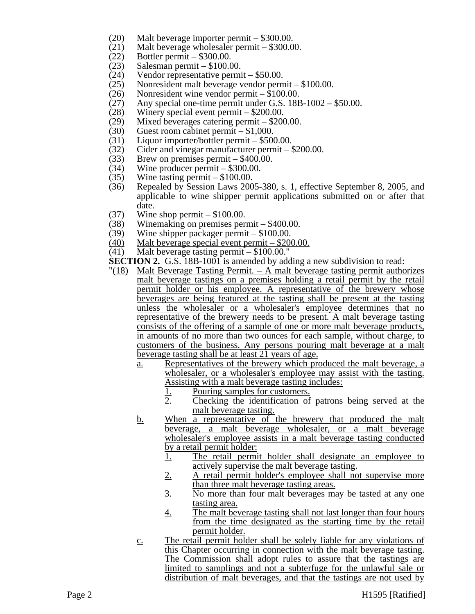- (20) Malt beverage importer permit \$300.00.
- (21) Malt beverage wholesaler permit \$300.00.<br>(22) Bottler permit \$300.00.
- Bottler permit  $-$  \$300.00.
- (23) Salesman permit \$100.00.
- (24) Vendor representative permit \$50.00.
- (25) Nonresident malt beverage vendor permit \$100.00.<br>(26) Nonresident wine vendor permit \$100.00.
- 
- (26) Nonresident wine vendor permit  $$100.00$ .<br>(27) Any special one-time permit under G.S. 18E Any special one-time permit under G.S.  $18B-1002 - $50.00$ .
- 
- (28) Winery special event permit \$200.00.<br>(29) Mixed beverages catering permit \$200 Mixed beverages catering permit  $-$  \$200.00.
- (30) Guest room cabinet permit \$1,000.<br>(31) Liquor importer/bottler permit \$50
- Liquor importer/bottler permit  $-$  \$500.00.
- (32) Cider and vinegar manufacturer permit \$200.00.<br>(33) Brew on premises permit \$400.00.
- Brew on premises permit  $-$  \$400.00.
- (34) Wine producer permit \$300.00.
- (35) Wine tasting permit \$100.00.
- (36) Repealed by Session Laws 2005-380, s. 1, effective September 8, 2005, and applicable to wine shipper permit applications submitted on or after that date.
- $(37)$  Wine shop permit  $-$  \$100.00.
- (38) Winemaking on premises permit \$400.00.
- (39) Wine shipper packager permit \$100.00.
- (40) Malt beverage special event permit \$200.00.
- $(41)$  Malt beverage tasting permit  $-$  \$100.00."
- **SECTION 2.** G.S. 18B-1001 is amended by adding a new subdivision to read:
- $\frac{18}{18}$  Malt Beverage Tasting Permit. A malt beverage tasting permit authorizes malt beverage tastings on a premises holding a retail permit by the retail permit holder or his employee. A representative of the brewery whose beverages are being featured at the tasting shall be present at the tasting unless the wholesaler or a wholesaler's employee determines that no representative of the brewery needs to be present. A malt beverage tasting consists of the offering of a sample of one or more malt beverage products, in amounts of no more than two ounces for each sample, without charge, to customers of the business. Any persons pouring malt beverage at a malt beverage tasting shall be at least 21 years of age.
	- a. Representatives of the brewery which produced the malt beverage, a wholesaler, or a wholesaler's employee may assist with the tasting. Assisting with a malt beverage tasting includes:
		- 1. Pouring samples for customers.<br>2. Checking the identification of
		- 2. Checking the identification of patrons being served at the malt beverage tasting.
	- b. When a representative of the brewery that produced the malt beverage, a malt beverage wholesaler, or a malt beverage wholesaler's employee assists in a malt beverage tasting conducted by a retail permit holder:
		- 1. The retail permit holder shall designate an employee to actively supervise the malt beverage tasting.
		- 2. A retail permit holder's employee shall not supervise more than three malt beverage tasting areas.
		- 3. No more than four malt beverages may be tasted at any one tasting area.
		- 4. The malt beverage tasting shall not last longer than four hours from the time designated as the starting time by the retail permit holder.
	- c. The retail permit holder shall be solely liable for any violations of this Chapter occurring in connection with the malt beverage tasting. The Commission shall adopt rules to assure that the tastings are limited to samplings and not a subterfuge for the unlawful sale or distribution of malt beverages, and that the tastings are not used by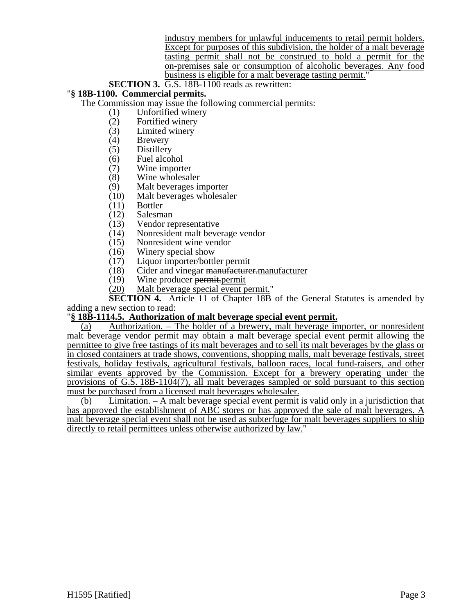industry members for unlawful inducements to retail permit holders. Except for purposes of this subdivision, the holder of a malt beverage tasting permit shall not be construed to hold a permit for the on-premises sale or consumption of alcoholic beverages. Any food business is eligible for a malt beverage tasting permit."

### **SECTION 3.** G.S. 18B-1100 reads as rewritten:

### "**§ 18B-1100. Commercial permits.**

The Commission may issue the following commercial permits:

- (1) Unfortified winery<br>(2) Fortified winery
- 
- (2) Fortified winery (3) Limited winery<br>(4) Brewery
- (4) Brewery<br>(5) Distillery
- (5) Distillery
- Fuel alcohol
- (7) Wine importer<br>(8) Wine wholesal
- Wine wholesaler
- (9) Malt beverages importer<br>(10) Malt beverages wholesal
- $(10)$  Malt beverages wholesaler  $(11)$  Bottler
- $(11)$  Bottler<br> $(12)$  Salesm
- 
- $(12)$  Salesman<br> $(13)$  Vendor re Vendor representative
- (14) Nonresident malt beverage vendor<br>(15) Nonresident wine vendor
- Nonresident wine vendor
- $(16)$  Winery special show<br> $(17)$  Liquor importer/bottl
- Liquor importer/bottler permit
- (18) Cider and vinegar <del>manufacturer.</del> <u>manufacturer</u> (19) Wine producer <del>permit</del>. permit
- Wine producer permit.permit
- (20) Malt beverage special event permit."

**SECTION 4.** Article 11 of Chapter 18B of the General Statutes is amended by adding a new section to read:

## "**§ 18B-1114.5. Authorization of malt beverage special event permit.**

(a) Authorization. – The holder of a brewery, malt beverage importer, or nonresident malt beverage vendor permit may obtain a malt beverage special event permit allowing the permittee to give free tastings of its malt beverages and to sell its malt beverages by the glass or in closed containers at trade shows, conventions, shopping malls, malt beverage festivals, street festivals, holiday festivals, agricultural festivals, balloon races, local fund-raisers, and other similar events approved by the Commission. Except for a brewery operating under the provisions of G.S. 18B-1104(7), all malt beverages sampled or sold pursuant to this section must be purchased from a licensed malt beverages wholesaler.

(b) Limitation. – A malt beverage special event permit is valid only in a jurisdiction that has approved the establishment of ABC stores or has approved the sale of malt beverages. A malt beverage special event shall not be used as subterfuge for malt beverages suppliers to ship directly to retail permittees unless otherwise authorized by law."